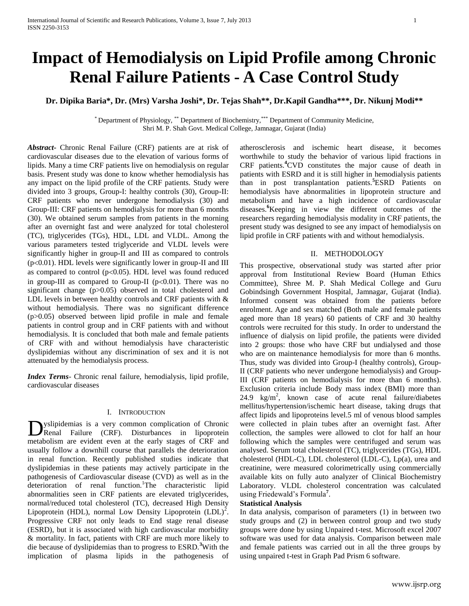# **Impact of Hemodialysis on Lipid Profile among Chronic Renal Failure Patients - A Case Control Study**

# **Dr. Dipika Baria\*, Dr. (Mrs) Varsha Joshi\*, Dr. Tejas Shah\*\*, Dr.Kapil Gandha\*\*\*, Dr. Nikunj Modi\*\***

\* Department of Physiology, \*\* Department of Biochemistry, \*\*\* Department of Community Medicine, Shri M. P. Shah Govt. Medical College, Jamnagar, Gujarat (India)

*Abstract***-** Chronic Renal Failure (CRF) patients are at risk of cardiovascular diseases due to the elevation of various forms of lipids. Many a time CRF patients live on hemodialysis on regular basis. Present study was done to know whether hemodialysis has any impact on the lipid profile of the CRF patients. Study were divided into 3 groups, Group-I: healthy controls (30), Group-II: CRF patients who never undergone hemodialysis (30) and Group-III: CRF patients on hemodialysis for more than 6 months (30). We obtained serum samples from patients in the morning after an overnight fast and were analyzed for total cholesterol (TC), triglycerides (TGs), HDL, LDL and VLDL. Among the various parameters tested triglyceride and VLDL levels were significantly higher in group-II and III as compared to controls  $(p<0.01)$ . HDL levels were significantly lower in group-II and III as compared to control ( $p<0.05$ ). HDL level was found reduced in group-III as compared to Group-II ( $p<0.01$ ). There was no significant change (p>0.05) observed in total cholesterol and LDL levels in between healthy controls and CRF patients with  $\&$ without hemodialysis. There was no significant difference (p>0.05) observed between lipid profile in male and female patients in control group and in CRF patients with and without hemodialysis. It is concluded that both male and female patients of CRF with and without hemodialysis have characteristic dyslipidemias without any discrimination of sex and it is not attenuated by the hemodialysis process.

*Index Terms*- Chronic renal failure, hemodialysis, lipid profile, cardiovascular diseases

# I. INTRODUCTION

yslipidemias is a very common complication of Chronic Dyslipidemias is a very common complication of Chronic<br>Renal Failure (CRF). Disturbances in lipoprotein metabolism are evident even at the early stages of CRF and usually follow a downhill course that parallels the deterioration in renal function. Recently published studies indicate that dyslipidemias in these patients may actively participate in the pathogenesis of Cardiovascular disease (CVD) as well as in the deterioration of renal function.<sup>1</sup>The characteristic lipid abnormalities seen in CRF patients are elevated triglycerides, normal/reduced total cholesterol (TC), decreased High Density Lipoprotein (HDL), normal Low Density Lipoprotein  $(LDL)^2$ . Progressive CRF not only leads to End stage renal disease (ESRD), but it is associated with high cardiovascular morbidity & mortality. In fact, patients with CRF are much more likely to die because of dyslipidemias than to progress to ESRD.**<sup>3</sup>**With the implication of plasma lipids in the pathogenesis of

atherosclerosis and ischemic heart disease, it becomes worthwhile to study the behavior of various lipid fractions in CRF patients.**<sup>4</sup>**CVD constitutes the major cause of death in patients with ESRD and it is still higher in hemodialysis patients than in post transplantation patients.**<sup>5</sup>**ESRD Patients on hemodialysis have abnormalities in lipoprotein structure and metabolism and have a high incidence of cardiovascular diseases.**<sup>6</sup>**Keeping in view the different outcomes of the researchers regarding hemodialysis modality in CRF patients, the present study was designed to see any impact of hemodialysis on lipid profile in CRF patients with and without hemodialysis.

#### II. METHODOLOGY

This prospective, observational study was started after prior approval from Institutional Review Board (Human Ethics Committee), Shree M. P. Shah Medical College and Guru Gobindsingh Government Hospital, Jamnagar, Gujarat (India). Informed consent was obtained from the patients before enrolment. Age and sex matched (Both male and female patients aged more than 18 years) 60 patients of CRF and 30 healthy controls were recruited for this study. In order to understand the influence of dialysis on lipid profile, the patients were divided into 2 groups: those who have CRF but undialysed and those who are on maintenance hemodialysis for more than 6 months. Thus, study was divided into Group-I (healthy controls), Group-II (CRF patients who never undergone hemodialysis) and Group-III (CRF patients on hemodialysis for more than 6 months). Exclusion criteria include Body mass index (BMI) more than 24.9  $\text{kg/m}^2$ , known case of acute renal failure/diabetes mellitus/hypertension/ischemic heart disease, taking drugs that affect lipids and lipoproteins level.5 ml of venous blood samples were collected in plain tubes after an overnight fast. After collection, the samples were allowed to clot for half an hour following which the samples were centrifuged and serum was analysed. Serum total cholesterol (TC), triglycerides (TGs), HDL cholesterol (HDL-C), LDL cholesterol (LDL-C), Lp(a), urea and creatinine, were measured colorimetrically using commercially available kits on fully auto analyzer of Clinical Biochemistry Laboratory. VLDL cholesterol concentration was calculated using Friedewald's Formula**<sup>7</sup>** .

## **Statistical Analysis**

In data analysis, comparison of parameters (1) in between two study groups and (2) in between control group and two study groups were done by using Unpaired t-test. Microsoft excel 2007 software was used for data analysis. Comparison between male and female patients was carried out in all the three groups by using unpaired t-test in Graph Pad Prism 6 software.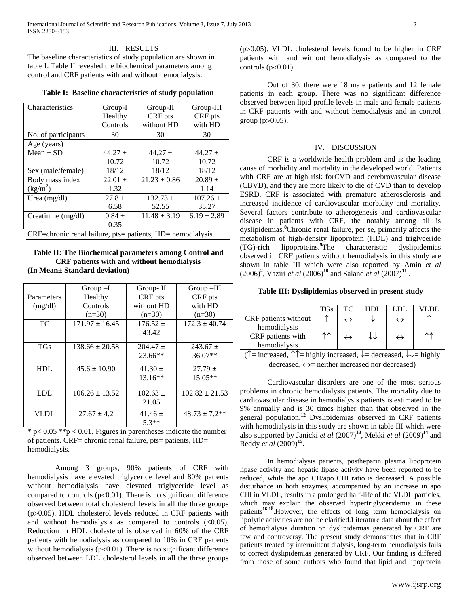# III. RESULTS

The baseline characteristics of study population are shown in table I. Table II revealed the biochemical parameters among control and CRF patients with and without hemodialysis.

|  |  | Table I: Baseline characteristics of study population |  |  |  |
|--|--|-------------------------------------------------------|--|--|--|
|--|--|-------------------------------------------------------|--|--|--|

| Characteristics                                             | Group-I   | Group-II         | $Group-III$     |  |  |
|-------------------------------------------------------------|-----------|------------------|-----------------|--|--|
|                                                             | Healthy   | CRF pts          | CRF pts         |  |  |
|                                                             | Controls  | without HD       | with HD         |  |  |
| No. of participants                                         | 30        | 30               | 30              |  |  |
| Age (years)                                                 |           |                  |                 |  |  |
| Mean $\pm$ SD                                               | $44.27 +$ | $44.27 +$        | $44.27 +$       |  |  |
|                                                             | 10.72     | 10.72            | 10.72           |  |  |
| Sex (male/female)                                           | 18/12     | 18/12            | 18/12           |  |  |
| Body mass index                                             | $22.01 +$ | $21.23 \pm 0.86$ | $20.89 +$       |  |  |
| $(kg/m^2)$                                                  | 1.32      |                  | 1.14            |  |  |
| Urea $(mg/dl)$                                              | $27.8 +$  | $132.73 \pm$     | $107.26 \pm$    |  |  |
|                                                             | 6.58      | 52.55            | 35.27           |  |  |
| Creatinine (mg/dl)                                          | $0.84 +$  | $11.48 \pm 3.19$ | $6.19 \pm 2.89$ |  |  |
|                                                             | 0.35      |                  |                 |  |  |
| CRF=chronic renal failure, pts= patients, HD= hemodialysis. |           |                  |                 |  |  |

**Table II: The Biochemical parameters among Control and CRF patients with and without hemodialysis (In Mean± Standard deviation)**

|             | $Group-I$          | Group-II     | $Group -III$       |
|-------------|--------------------|--------------|--------------------|
| Parameters  | Healthy            | CRF pts      | CRF pts            |
| (mg/dl)     | Controls           | without HD   | with HD            |
|             | $(n=30)$           | $(n=30)$     | $(n=30)$           |
| TC.         | $171.97 \pm 16.45$ | $176.52 \pm$ | $172.3 \pm 40.74$  |
|             |                    | 43.42        |                    |
| <b>TGs</b>  | $138.66 \pm 20.58$ | $204.47 \pm$ | $243.67 \pm$       |
|             |                    | $23.66**$    | $36.07**$          |
| HDI.        | $45.6 \pm 10.90$   | $41.30 \pm$  | $27.79 \pm$        |
|             |                    | $13.16**$    | $15.05**$          |
| LDL.        | $106.26 \pm 13.52$ | $102.63 \pm$ | $102.82 \pm 21.53$ |
|             |                    | 21.05        |                    |
| <b>VLDL</b> | $27.67 \pm 4.2$    | $41.46 \pm$  | $48.73 \pm 7.2**$  |
|             |                    | $5.3**$      |                    |

 $* p < 0.05 **p < 0.01$ . Figures in parentheses indicate the number of patients. CRF= chronic renal failure, pts= patients, HD= hemodialysis.

Among 3 groups, 90% patients of CRF with hemodialysis have elevated triglyceride level and 80% patients without hemodialysis have elevated triglyceride level as compared to controls ( $p<0.01$ ). There is no significant difference observed between total cholesterol levels in all the three groups  $(p>0.05)$ . HDL cholesterol levels reduced in CRF patients with and without hemodialysis as compared to controls  $(\leq 0.05)$ . Reduction in HDL cholesterol is observed in 60% of the CRF patients with hemodialysis as compared to 10% in CRF patients without hemodialysis ( $p<0.01$ ). There is no significant difference observed between LDL cholesterol levels in all the three groups

 $(p>0.05)$ . VLDL cholesterol levels found to be higher in CRF patients with and without hemodialysis as compared to the controls  $(p<0.01)$ .

Out of 30, there were 18 male patients and 12 female patients in each group. There was no significant difference observed between lipid profile levels in male and female patients in CRF patients with and without hemodialysis and in control group  $(p>0.05)$ .

#### IV. DISCUSSION

CRF is a worldwide health problem and is the leading cause of morbidity and mortality in the developed world. Patients with CRF are at high risk forCVD and cerebrovascular disease (CBVD), and they are more likely to die of CVD than to develop ESRD. CRF is associated with premature atherosclerosis and increased incidence of cardiovascular morbidity and mortality. Several factors contribute to atherogenesis and cardiovascular disease in patients with CRF, the notably among all is dyslipidemias. **<sup>8</sup>**Chronic renal failure, per se, primarily affects the metabolism of high-density lipoprotein (HDL) and triglyceride (TG)-rich lipoproteins.**<sup>9</sup>**The characteristic dyslipidemias observed in CRF patients without hemodialysis in this study are shown in table III which were also reported by Amin *et al*   $(2006)^2$ , Vaziri *et al*  $(2006)^{10}$  and Saland *et al*  $(2007)^{11}$ .

# **Table III: Dyslipidemias observed in present study**

|                                                                                                                              | <b>TGs</b> | TC.               | HDL. | LDL               |  |
|------------------------------------------------------------------------------------------------------------------------------|------------|-------------------|------|-------------------|--|
| CRF patients without                                                                                                         |            | $\leftrightarrow$ |      | $\leftrightarrow$ |  |
| hemodialysis                                                                                                                 |            |                   |      |                   |  |
| CRF patients with                                                                                                            |            |                   |      | $\leftrightarrow$ |  |
| hemodialysis                                                                                                                 |            |                   |      |                   |  |
| ( $\uparrow$ = increased, $\uparrow \uparrow$ = highly increased, $\downarrow$ = decreased, $\downarrow \downarrow$ = highly |            |                   |      |                   |  |
| decreased, $\leftrightarrow$ neither increased nor decreased)                                                                |            |                   |      |                   |  |

Cardiovascular disorders are one of the most serious problems in chronic hemodialysis patients. The mortality due to cardiovascular disease in hemodialysis patients is estimated to be 9% annually and is 30 times higher than that observed in the general population. **<sup>12</sup>** Dyslipidemias observed in CRF patients with hemodialysis in this study are shown in table III which were also supported by Janicki *et al* (2007)**<sup>13</sup>** , Mekki *et al* (2009)**<sup>14</sup>** and Reddy *et al* (2009)**<sup>15</sup> .** 

In hemodialysis patients, postheparin plasma lipoprotein lipase activity and hepatic lipase activity have been reported to be reduced, while the apo CII/apo CIII ratio is decreased. A possible disturbance in both enzymes, accompanied by an increase in apo CIII in VLDL, results in a prolonged half-life of the VLDL particles, which may explain the observed hypertriglyceridemia in these patients<sup>16-18</sup>. However, the effects of long term hemodialysis on lipolytic activities are not be clarified.Literature data about the effect of hemodialysis duration on dyslipidemias generated by CRF are few and controversy. The present study demonstrates that in CRF patients treated by intermittent dialysis, long-term hemodialysis fails to correct dyslipidemias generated by CRF. Our finding is differed from those of some authors who found that lipid and lipoprotein